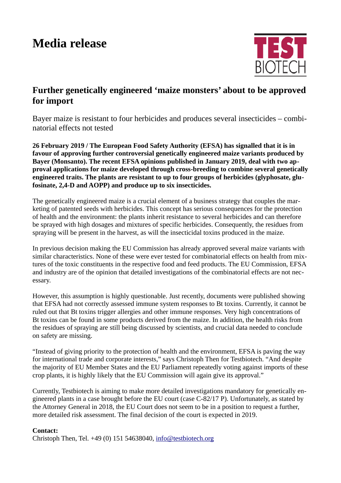## **Media release**



## **Further genetically engineered 'maize monsters' about to be approved for import**

Bayer maize is resistant to four herbicides and produces several insecticides – combinatorial effects not tested

**26 February 2019 / The European Food Safety Authority (EFSA) has signalled that it is in favour of approving further controversial genetically engineered maize variants produced by Bayer (Monsanto). The recent EFSA opinions published in January 2019, deal with two approval applications for maize developed through cross-breeding to combine several genetically engineered traits. The plants are resistant to up to four groups of herbicides (glyphosate, glufosinate, 2,4-D and AOPP) and produce up to six insecticides.** 

The genetically engineered maize is a crucial element of a business strategy that couples the marketing of patented seeds with herbicides. This concept has serious consequences for the protection of health and the environment: the plants inherit resistance to several herbicides and can therefore be sprayed with high dosages and mixtures of specific herbicides. Consequently, the residues from spraying will be present in the harvest, as will the insecticidal toxins produced in the maize.

In previous decision making the EU Commission has already approved several maize variants with similar characteristics. None of these were ever tested for combinatorial effects on health from mixtures of the toxic constituents in the respective food and feed products. The EU Commission, EFSA and industry are of the opinion that detailed investigations of the combinatorial effects are not necessary.

However, this assumption is highly questionable. Just recently, documents were published showing that EFSA had not correctly assessed immune system responses to Bt toxins. Currently, it cannot be ruled out that Bt toxins trigger allergies and other immune responses. Very high concentrations of Bt toxins can be found in some products derived from the maize. In addition, the health risks from the residues of spraying are still being discussed by scientists, and crucial data needed to conclude on safety are missing.

"Instead of giving priority to the protection of health and the environment, EFSA is paving the way for international trade and corporate interests," says Christoph Then for Testbiotech. "And despite the majority of EU Member States and the EU Parliament repeatedly voting against imports of these crop plants, it is highly likely that the EU Commission will again give its approval."

Currently, Testbiotech is aiming to make more detailed investigations mandatory for genetically engineered plants in a case brought before the EU court (case C-82/17 P). Unfortunately, as stated by the Attorney General in 2018, the EU Court does not seem to be in a position to request a further, more detailed risk assessment. The final decision of the court is expected in 2019.

## **Contact:**

Christoph Then, Tel. +49 (0) 151 54638040, [info@testbiotech.org](mailto:info@testbiotech.org)